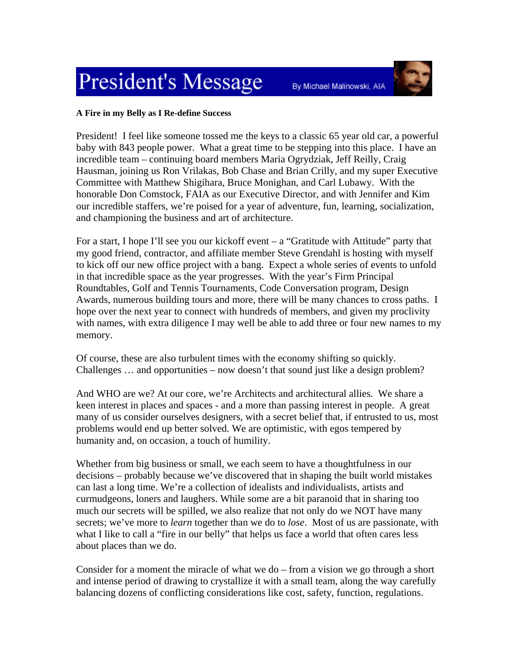## **President's Message**



By Michael Malinowski, AIA

## **A Fire in my Belly as I Re-define Success**

President! I feel like someone tossed me the keys to a classic 65 year old car, a powerful baby with 843 people power. What a great time to be stepping into this place. I have an incredible team – continuing board members Maria Ogrydziak, Jeff Reilly, Craig Hausman, joining us Ron Vrilakas, Bob Chase and Brian Crilly, and my super Executive Committee with Matthew Shigihara, Bruce Monighan, and Carl Lubawy. With the honorable Don Comstock, FAIA as our Executive Director, and with Jennifer and Kim our incredible staffers, we're poised for a year of adventure, fun, learning, socialization, and championing the business and art of architecture.

For a start, I hope I'll see you our kickoff event  $-$  a "Gratitude with Attitude" party that my good friend, contractor, and affiliate member Steve Grendahl is hosting with myself to kick off our new office project with a bang. Expect a whole series of events to unfold in that incredible space as the year progresses. With the year's Firm Principal Roundtables, Golf and Tennis Tournaments, Code Conversation program, Design Awards, numerous building tours and more, there will be many chances to cross paths. I hope over the next year to connect with hundreds of members, and given my proclivity with names, with extra diligence I may well be able to add three or four new names to my memory.

Of course, these are also turbulent times with the economy shifting so quickly. Challenges … and opportunities – now doesn't that sound just like a design problem?

And WHO are we? At our core, we're Architects and architectural allies. We share a keen interest in places and spaces - and a more than passing interest in people. A great many of us consider ourselves designers, with a secret belief that, if entrusted to us, most problems would end up better solved. We are optimistic, with egos tempered by humanity and, on occasion, a touch of humility.

Whether from big business or small, we each seem to have a thoughtfulness in our decisions – probably because we've discovered that in shaping the built world mistakes can last a long time. We're a collection of idealists and individualists, artists and curmudgeons, loners and laughers. While some are a bit paranoid that in sharing too much our secrets will be spilled, we also realize that not only do we NOT have many secrets; we've more to *learn* together than we do to *lose*. Most of us are passionate, with what I like to call a "fire in our belly" that helps us face a world that often cares less about places than we do.

Consider for a moment the miracle of what we do – from a vision we go through a short and intense period of drawing to crystallize it with a small team, along the way carefully balancing dozens of conflicting considerations like cost, safety, function, regulations.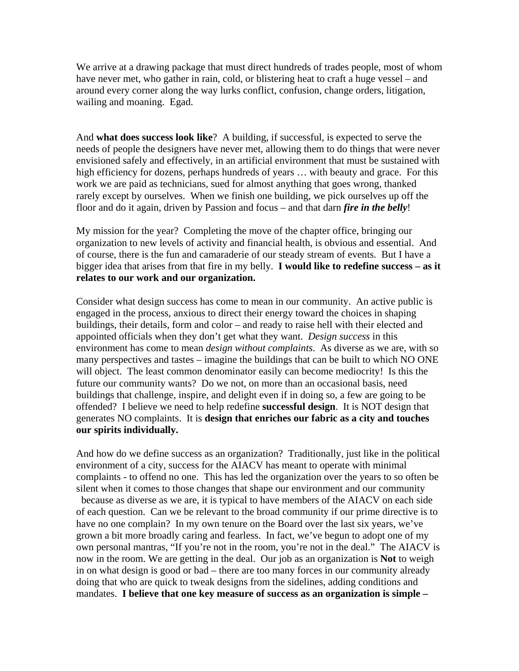We arrive at a drawing package that must direct hundreds of trades people, most of whom have never met, who gather in rain, cold, or blistering heat to craft a huge vessel – and around every corner along the way lurks conflict, confusion, change orders, litigation, wailing and moaning. Egad.

And **what does success look like**? A building, if successful, is expected to serve the needs of people the designers have never met, allowing them to do things that were never envisioned safely and effectively, in an artificial environment that must be sustained with high efficiency for dozens, perhaps hundreds of years … with beauty and grace. For this work we are paid as technicians, sued for almost anything that goes wrong, thanked rarely except by ourselves. When we finish one building, we pick ourselves up off the floor and do it again, driven by Passion and focus – and that darn *fire in the belly*!

My mission for the year? Completing the move of the chapter office, bringing our organization to new levels of activity and financial health, is obvious and essential. And of course, there is the fun and camaraderie of our steady stream of events. But I have a bigger idea that arises from that fire in my belly. **I would like to redefine success – as it relates to our work and our organization.**

Consider what design success has come to mean in our community. An active public is engaged in the process, anxious to direct their energy toward the choices in shaping buildings, their details, form and color – and ready to raise hell with their elected and appointed officials when they don't get what they want. *Design success* in this environment has come to mean *design without complaints*. As diverse as we are, with so many perspectives and tastes – imagine the buildings that can be built to which NO ONE will object. The least common denominator easily can become mediocrity! Is this the future our community wants? Do we not, on more than an occasional basis, need buildings that challenge, inspire, and delight even if in doing so, a few are going to be offended? I believe we need to help redefine **successful design**. It is NOT design that generates NO complaints. It is **design that enriches our fabric as a city and touches our spirits individually.**

And how do we define success as an organization? Traditionally, just like in the political environment of a city, success for the AIACV has meant to operate with minimal complaints - to offend no one. This has led the organization over the years to so often be silent when it comes to those changes that shape our environment and our community because as diverse as we are, it is typical to have members of the AIACV on each side of each question. Can we be relevant to the broad community if our prime directive is to have no one complain? In my own tenure on the Board over the last six years, we've grown a bit more broadly caring and fearless. In fact, we've begun to adopt one of my own personal mantras, "If you're not in the room, you're not in the deal." The AIACV is now in the room. We are getting in the deal. Our job as an organization is **Not** to weigh in on what design is good or bad – there are too many forces in our community already doing that who are quick to tweak designs from the sidelines, adding conditions and mandates. **I believe that one key measure of success as an organization is simple –**